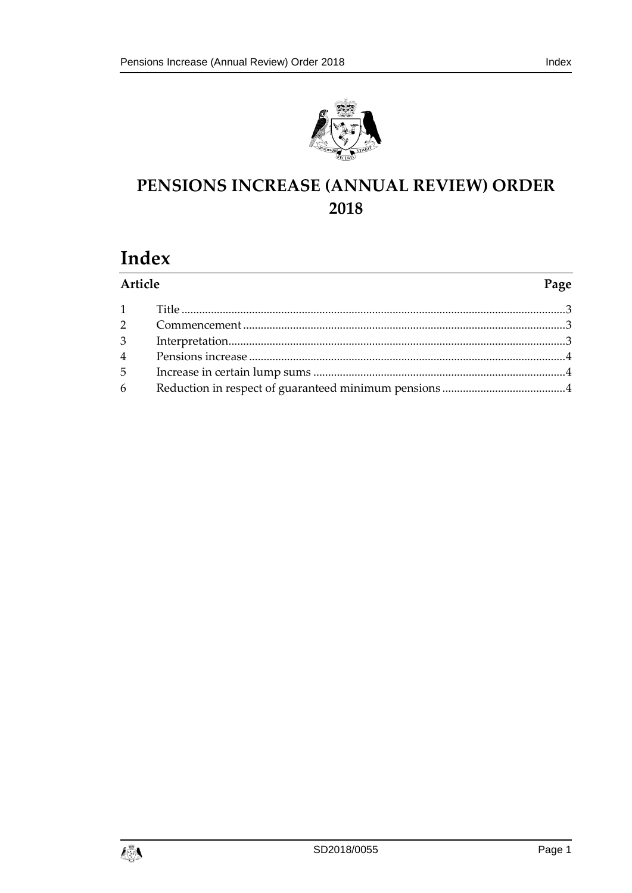

# PENSIONS INCREASE (ANNUAL REVIEW) ORDER 2018

## Index

| Article        |  | Page |
|----------------|--|------|
|                |  |      |
|                |  |      |
| 3 <sup>1</sup> |  |      |
|                |  |      |
| $5^{\circ}$    |  |      |
| 6              |  |      |

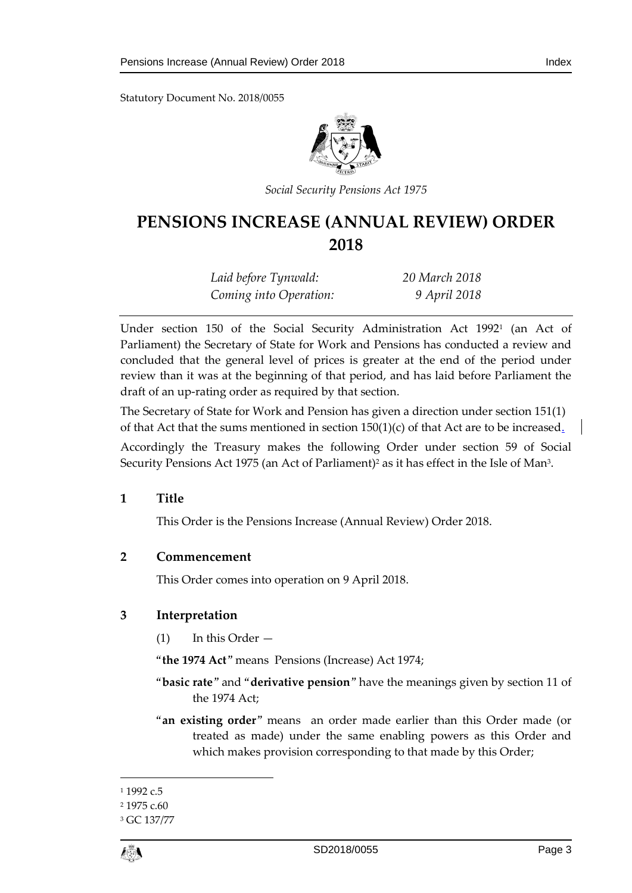Statutory Document No. 2018/0055



*Social Security Pensions Act 1975*

## **PENSIONS INCREASE (ANNUAL REVIEW) ORDER 2018**

| Laid before Tynwald:   | 20 March 2018 |
|------------------------|---------------|
| Coming into Operation: | 9 April 2018  |

Under section 150 of the Social Security Administration Act 1992<sup>1</sup> (an Act of Parliament) the Secretary of State for Work and Pensions has conducted a review and concluded that the general level of prices is greater at the end of the period under review than it was at the beginning of that period, and has laid before Parliament the draft of an up-rating order as required by that section.

The Secretary of State for Work and Pension has given a direction under section 151(1) of that Act that the sums mentioned in section  $150(1)(c)$  of that Act are to be increased.

Accordingly the Treasury makes the following Order under section 59 of Social Security Pensions Act 1975 (an Act of Parliament)<sup>2</sup> as it has effect in the Isle of Man<sup>3</sup>.

#### <span id="page-2-0"></span>**1 Title**

This Order is the Pensions Increase (Annual Review) Order 2018.

#### <span id="page-2-1"></span>**2 Commencement**

This Order comes into operation on 9 April 2018.

#### <span id="page-2-2"></span>**3 Interpretation**

(1) In this Order —

"**the 1974 Act**" means Pensions (Increase) Act 1974;

- "**basic rate**" and "**derivative pension**" have the meanings given by section 11 of the 1974 Act;
- "**an existing order**" means an order made earlier than this Order made (or treated as made) under the same enabling powers as this Order and which makes provision corresponding to that made by this Order;

1

<sup>&</sup>lt;sup>1</sup> 1992 c.5

<sup>2</sup> 1975 c.60

<sup>3</sup> GC 137/77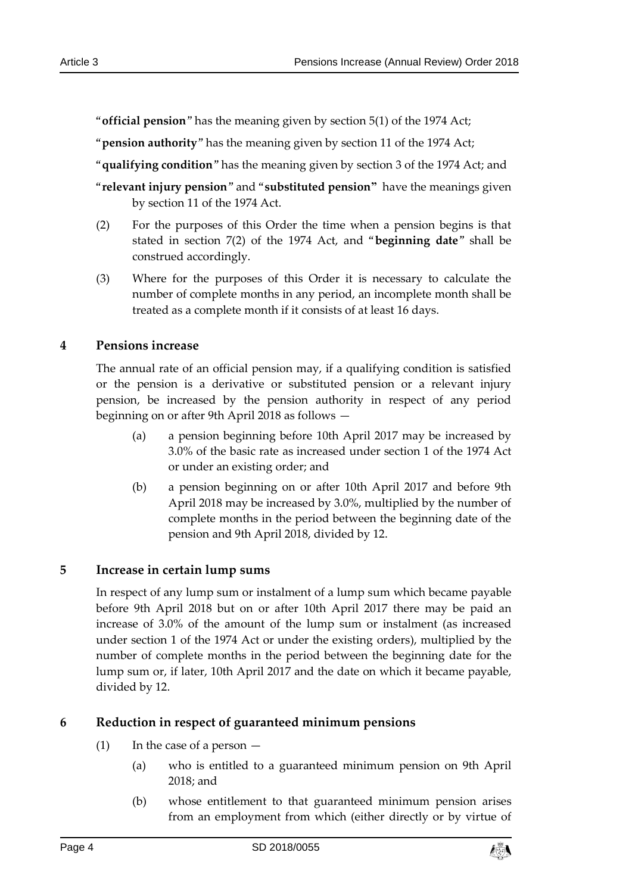"**official pension**" has the meaning given by section 5(1) of the 1974 Act;

"**pension authority**" has the meaning given by section 11 of the 1974 Act;

- "**qualifying condition**" has the meaning given by section 3 of the 1974 Act; and
- "**relevant injury pension**" and "**substituted pension"** have the meanings given by section 11 of the 1974 Act.
- (2) For the purposes of this Order the time when a pension begins is that stated in section 7(2) of the 1974 Act, and "**beginning date**" shall be construed accordingly.
- (3) Where for the purposes of this Order it is necessary to calculate the number of complete months in any period, an incomplete month shall be treated as a complete month if it consists of at least 16 days.

### <span id="page-3-0"></span>**4 Pensions increase**

The annual rate of an official pension may, if a qualifying condition is satisfied or the pension is a derivative or substituted pension or a relevant injury pension, be increased by the pension authority in respect of any period beginning on or after 9th April 2018 as follows —

- (a) a pension beginning before 10th April 2017 may be increased by 3.0% of the basic rate as increased under section 1 of the 1974 Act or under an existing order; and
- (b) a pension beginning on or after 10th April 2017 and before 9th April 2018 may be increased by 3.0%, multiplied by the number of complete months in the period between the beginning date of the pension and 9th April 2018, divided by 12.

## <span id="page-3-1"></span>**5 Increase in certain lump sums**

In respect of any lump sum or instalment of a lump sum which became payable before 9th April 2018 but on or after 10th April 2017 there may be paid an increase of 3.0% of the amount of the lump sum or instalment (as increased under section 1 of the 1974 Act or under the existing orders), multiplied by the number of complete months in the period between the beginning date for the lump sum or, if later, 10th April 2017 and the date on which it became payable, divided by 12.

## <span id="page-3-2"></span>**6 Reduction in respect of guaranteed minimum pensions**

- (1) In the case of a person  $-$ 
	- (a) who is entitled to a guaranteed minimum pension on 9th April 2018; and
	- (b) whose entitlement to that guaranteed minimum pension arises from an employment from which (either directly or by virtue of

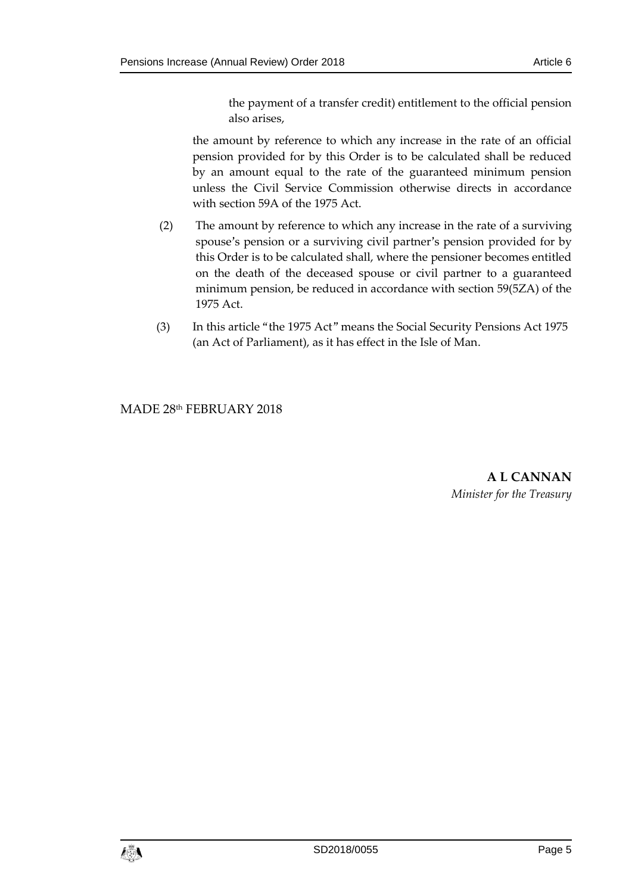the payment of a transfer credit) entitlement to the official pension also arises,

the amount by reference to which any increase in the rate of an official pension provided for by this Order is to be calculated shall be reduced by an amount equal to the rate of the guaranteed minimum pension unless the Civil Service Commission otherwise directs in accordance with section 59A of the 1975 Act.

- (2) The amount by reference to which any increase in the rate of a surviving spouse's pension or a surviving civil partner's pension provided for by this Order is to be calculated shall, where the pensioner becomes entitled on the death of the deceased spouse or civil partner to a guaranteed minimum pension, be reduced in accordance with section 59(5ZA) of the 1975 Act.
- (3) In this article "the 1975 Act" means the Social Security Pensions Act 1975 (an Act of Parliament), as it has effect in the Isle of Man.

MADE 28th FEBRUARY 2018

**A L CANNAN** *Minister for the Treasury*